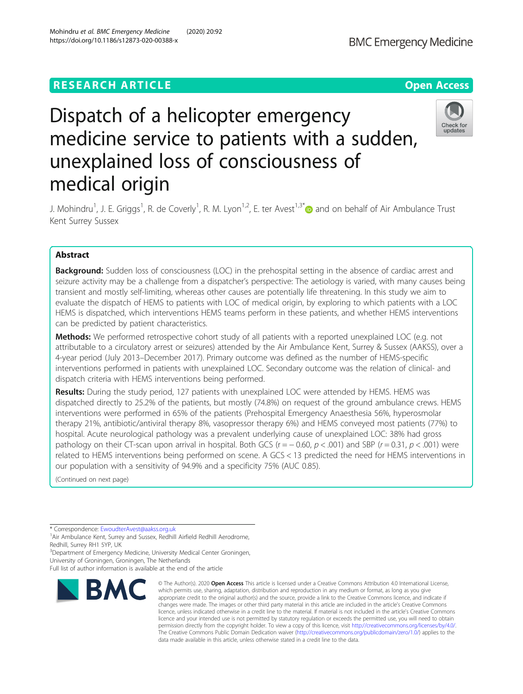## **RESEARCH ARTICLE Example 2014 12:30 The Contract of Contract ACCESS**

# Dispatch of a helicopter emergency medicine service to patients with a sudden, unexplained loss of consciousness of medical origin

J. Mohindru<sup>1</sup>, J. E. Griggs<sup>1</sup>, R. de Coverly<sup>1</sup>, R. M. Lyon<sup>1,2</sup>, E. ter Avest<sup>1,3\*</sup> and on behalf of Air Ambulance Trust Kent Surrey Sussex

## Abstract

**Background:** Sudden loss of consciousness (LOC) in the prehospital setting in the absence of cardiac arrest and seizure activity may be a challenge from a dispatcher's perspective: The aetiology is varied, with many causes being transient and mostly self-limiting, whereas other causes are potentially life threatening. In this study we aim to evaluate the dispatch of HEMS to patients with LOC of medical origin, by exploring to which patients with a LOC HEMS is dispatched, which interventions HEMS teams perform in these patients, and whether HEMS interventions can be predicted by patient characteristics.

Methods: We performed retrospective cohort study of all patients with a reported unexplained LOC (e.g. not attributable to a circulatory arrest or seizures) attended by the Air Ambulance Kent, Surrey & Sussex (AAKSS), over a 4-year period (July 2013–December 2017). Primary outcome was defined as the number of HEMS-specific interventions performed in patients with unexplained LOC. Secondary outcome was the relation of clinical- and dispatch criteria with HEMS interventions being performed.

Results: During the study period, 127 patients with unexplained LOC were attended by HEMS. HEMS was dispatched directly to 25.2% of the patients, but mostly (74.8%) on request of the ground ambulance crews. HEMS interventions were performed in 65% of the patients (Prehospital Emergency Anaesthesia 56%, hyperosmolar therapy 21%, antibiotic/antiviral therapy 8%, vasopressor therapy 6%) and HEMS conveyed most patients (77%) to hospital. Acute neurological pathology was a prevalent underlying cause of unexplained LOC: 38% had gross pathology on their CT-scan upon arrival in hospital. Both GCS ( $r = -0.60$ ,  $p < .001$ ) and SBP ( $r = 0.31$ ,  $p < .001$ ) were related to HEMS interventions being performed on scene. A GCS < 13 predicted the need for HEMS interventions in our population with a sensitivity of 94.9% and a specificity 75% (AUC 0.85).

© The Author(s), 2020 **Open Access** This article is licensed under a Creative Commons Attribution 4.0 International License,

(Continued on next page)

\* Correspondence: [EwoudterAvest@aakss.org.uk](mailto:EwoudterAvest@aakss.org.uk) <sup>1</sup>

<sup>1</sup>Air Ambulance Kent, Surrey and Sussex, Redhill Airfield Redhill Aerodrome, Redhill, Surrey RH1 5YP, UK

<sup>3</sup>Department of Emergency Medicine, University Medical Center Groningen, University of Groningen, Groningen, The Netherlands

Full list of author information is available at the end of the article



data made available in this article, unless otherwise stated in a credit line to the data.



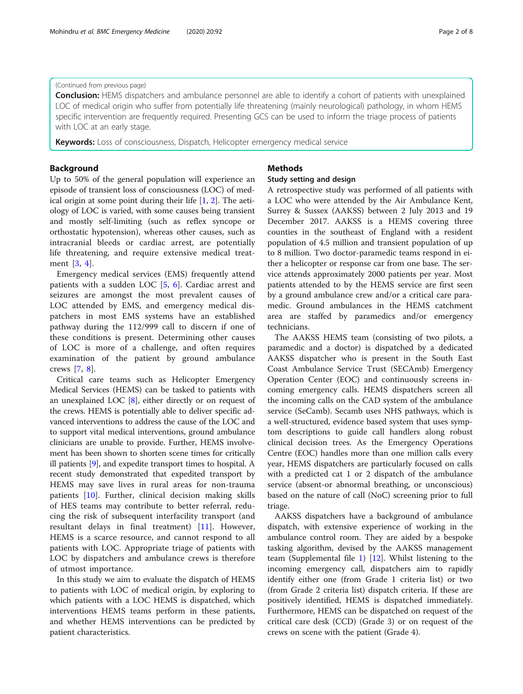## (Continued from previous page)

**Conclusion:** HEMS dispatchers and ambulance personnel are able to identify a cohort of patients with unexplained LOC of medical origin who suffer from potentially life threatening (mainly neurological) pathology, in whom HEMS specific intervention are frequently required. Presenting GCS can be used to inform the triage process of patients with LOC at an early stage.

Keywords: Loss of consciousness, Dispatch, Helicopter emergency medical service

## Background

Up to 50% of the general population will experience an episode of transient loss of consciousness (LOC) of medical origin at some point during their life  $[1, 2]$  $[1, 2]$  $[1, 2]$  $[1, 2]$ . The aetiology of LOC is varied, with some causes being transient and mostly self-limiting (such as reflex syncope or orthostatic hypotension), whereas other causes, such as intracranial bleeds or cardiac arrest, are potentially life threatening, and require extensive medical treatment [\[3](#page-7-0), [4\]](#page-7-0).

Emergency medical services (EMS) frequently attend patients with a sudden LOC [[5,](#page-7-0) [6](#page-7-0)]. Cardiac arrest and seizures are amongst the most prevalent causes of LOC attended by EMS, and emergency medical dispatchers in most EMS systems have an established pathway during the 112/999 call to discern if one of these conditions is present. Determining other causes of LOC is more of a challenge, and often requires examination of the patient by ground ambulance crews [\[7](#page-7-0), [8\]](#page-7-0).

Critical care teams such as Helicopter Emergency Medical Services (HEMS) can be tasked to patients with an unexplained LOC [\[8\]](#page-7-0), either directly or on request of the crews. HEMS is potentially able to deliver specific advanced interventions to address the cause of the LOC and to support vital medical interventions, ground ambulance clinicians are unable to provide. Further, HEMS involvement has been shown to shorten scene times for critically ill patients [[9](#page-7-0)], and expedite transport times to hospital. A recent study demonstrated that expedited transport by HEMS may save lives in rural areas for non-trauma patients [\[10](#page-7-0)]. Further, clinical decision making skills of HES teams may contribute to better referral, reducing the risk of subsequent interfacility transport (and resultant delays in final treatment) [[11\]](#page-7-0). However, HEMS is a scarce resource, and cannot respond to all patients with LOC. Appropriate triage of patients with LOC by dispatchers and ambulance crews is therefore of utmost importance.

In this study we aim to evaluate the dispatch of HEMS to patients with LOC of medical origin, by exploring to which patients with a LOC HEMS is dispatched, which interventions HEMS teams perform in these patients, and whether HEMS interventions can be predicted by patient characteristics.

## Methods

## Study setting and design

A retrospective study was performed of all patients with a LOC who were attended by the Air Ambulance Kent, Surrey & Sussex (AAKSS) between 2 July 2013 and 19 December 2017. AAKSS is a HEMS covering three counties in the southeast of England with a resident population of 4.5 million and transient population of up to 8 million. Two doctor-paramedic teams respond in either a helicopter or response car from one base. The service attends approximately 2000 patients per year. Most patients attended to by the HEMS service are first seen by a ground ambulance crew and/or a critical care paramedic. Ground ambulances in the HEMS catchment area are staffed by paramedics and/or emergency technicians.

The AAKSS HEMS team (consisting of two pilots, a paramedic and a doctor) is dispatched by a dedicated AAKSS dispatcher who is present in the South East Coast Ambulance Service Trust (SECAmb) Emergency Operation Center (EOC) and continuously screens incoming emergency calls. HEMS dispatchers screen all the incoming calls on the CAD system of the ambulance service (SeCamb). Secamb uses NHS pathways, which is a well-structured, evidence based system that uses symptom descriptions to guide call handlers along robust clinical decision trees. As the Emergency Operations Centre (EOC) handles more than one million calls every year, HEMS dispatchers are particularly focused on calls with a predicted cat 1 or 2 dispatch of the ambulance service (absent-or abnormal breathing, or unconscious) based on the nature of call (NoC) screening prior to full triage.

AAKSS dispatchers have a background of ambulance dispatch, with extensive experience of working in the ambulance control room. They are aided by a bespoke tasking algorithm, devised by the AAKSS management team (Supplemental file [1\)](#page-7-0) [[12\]](#page-7-0). Whilst listening to the incoming emergency call, dispatchers aim to rapidly identify either one (from Grade 1 criteria list) or two (from Grade 2 criteria list) dispatch criteria. If these are positively identified, HEMS is dispatched immediately. Furthermore, HEMS can be dispatched on request of the critical care desk (CCD) (Grade 3) or on request of the crews on scene with the patient (Grade 4).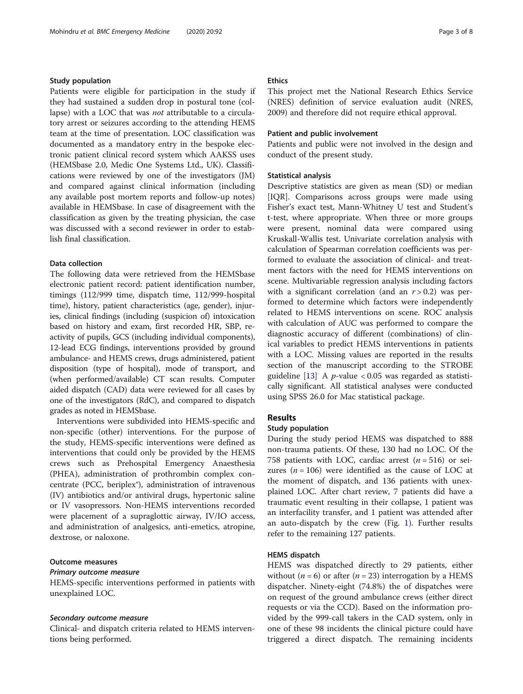#### Study population

Patients were eligible for participation in the study if they had sustained a sudden drop in postural tone (collapse) with a LOC that was *not* attributable to a circulatory arrest or seizures according to the attending HEMS team at the time of presentation. LOC classification was documented as a mandatory entry in the bespoke electronic patient clinical record system which AAKSS uses (HEMSbase 2.0, Medic One Systems Ltd., UK). Classifications were reviewed by one of the investigators (JM) and compared against clinical information (including any available post mortem reports and follow-up notes) available in HEMSbase. In case of disagreement with the classification as given by the treating physician, the case was discussed with a second reviewer in order to establish final classification.

## Data collection

The following data were retrieved from the HEMSbase electronic patient record: patient identification number, timings (112/999 time, dispatch time, 112/999-hospital time), history, patient characteristics (age, gender), injuries, clinical findings (including (suspicion of) intoxication based on history and exam, first recorded HR, SBP, reactivity of pupils, GCS (including individual components), 12-lead ECG findings, interventions provided by ground ambulance- and HEMS crews, drugs administered, patient disposition (type of hospital), mode of transport, and (when performed/available) CT scan results. Computer aided dispatch (CAD) data were reviewed for all cases by one of the investigators (RdC), and compared to dispatch grades as noted in HEMSbase.

Interventions were subdivided into HEMS-specific and non-specific (other) interventions. For the purpose of the study, HEMS-specific interventions were defined as interventions that could only be provided by the HEMS crews such as Prehospital Emergency Anaesthesia (PHEA), administration of prothrombin complex concentrate (PCC, beriplex®), administration of intravenous (IV) antibiotics and/or antiviral drugs, hypertonic saline or IV vasopressors. Non-HEMS interventions recorded were placement of a supraglottic airway, IV/IO access, and administration of analgesics, anti-emetics, atropine, dextrose, or naloxone.

## Outcome measures

## Primary outcome measure

HEMS-specific interventions performed in patients with unexplained LOC.

#### Secondary outcome measure

Clinical- and dispatch criteria related to HEMS interventions being performed.

## Ethics

This project met the National Research Ethics Service (NRES) definition of service evaluation audit (NRES, 2009) and therefore did not require ethical approval.

## Patient and public involvement

Patients and public were not involved in the design and conduct of the present study.

## Statistical analysis

Descriptive statistics are given as mean (SD) or median [IQR]. Comparisons across groups were made using Fisher's exact test, Mann-Whitney U test and Student's t-test, where appropriate. When three or more groups were present, nominal data were compared using Kruskall-Wallis test. Univariate correlation analysis with calculation of Spearman correlation coefficients was performed to evaluate the association of clinical- and treatment factors with the need for HEMS interventions on scene. Multivariable regression analysis including factors with a significant correlation (and an  $r > 0.2$ ) was performed to determine which factors were independently related to HEMS interventions on scene. ROC analysis with calculation of AUC was performed to compare the diagnostic accuracy of different (combinations) of clinical variables to predict HEMS interventions in patients with a LOC. Missing values are reported in the results section of the manuscript according to the STROBE guideline  $[13]$  $[13]$  $[13]$  A p-value < 0.05 was regarded as statistically significant. All statistical analyses were conducted using SPSS 26.0 for Mac statistical package.

## Results

#### Study population

During the study period HEMS was dispatched to 888 non-trauma patients. Of these, 130 had no LOC. Of the 758 patients with LOC, cardiac arrest  $(n = 516)$  or seizures ( $n = 106$ ) were identified as the cause of LOC at the moment of dispatch, and 136 patients with unexplained LOC. After chart review, 7 patients did have a traumatic event resulting in their collapse, 1 patient was an interfacility transfer, and 1 patient was attended after an auto-dispatch by the crew (Fig. [1\)](#page-3-0). Further results refer to the remaining 127 patients.

## HEMS dispatch

HEMS was dispatched directly to 29 patients, either without ( $n = 6$ ) or after ( $n = 23$ ) interrogation by a HEMS dispatcher. Ninety-eight (74.8%) the of dispatches were on request of the ground ambulance crews (either direct requests or via the CCD). Based on the information provided by the 999-call takers in the CAD system, only in one of these 98 incidents the clinical picture could have triggered a direct dispatch. The remaining incidents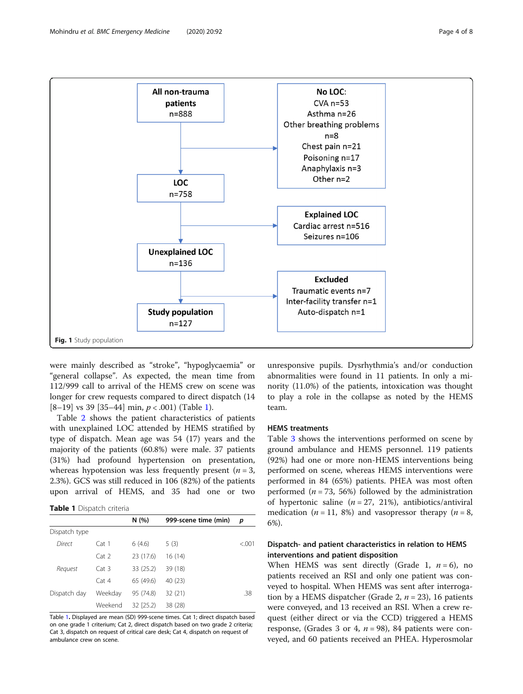

<span id="page-3-0"></span>

were mainly described as "stroke", "hypoglycaemia" or "general collapse". As expected, the mean time from 112/999 call to arrival of the HEMS crew on scene was longer for crew requests compared to direct dispatch (14 [8–19] vs 39 [35–44] min,  $p < .001$ ) (Table 1).

Table [2](#page-4-0) shows the patient characteristics of patients with unexplained LOC attended by HEMS stratified by type of dispatch. Mean age was 54 (17) years and the majority of the patients (60.8%) were male. 37 patients (31%) had profound hypertension on presentation, whereas hypotension was less frequently present  $(n = 3,$ 2.3%). GCS was still reduced in 106 (82%) of the patients upon arrival of HEMS, and 35 had one or two

Table 1 Dispatch criteria

|               |                  | N (%)     | 999-scene time (min) | p      |
|---------------|------------------|-----------|----------------------|--------|
| Dispatch type |                  |           |                      |        |
| Direct        | Cat <sub>1</sub> | 6(4.6)    | 5(3)                 | < 0.01 |
|               | Cat 2            | 23 (17.6) | 16 (14)              |        |
| Request       | Cat 3            | 33 (25.2) | 39 (18)              |        |
|               | Cat 4            | 65 (49.6) | 40 (23)              |        |
| Dispatch day  | Weekday          | 95 (74.8) | 32 (21)              | .38    |
|               | Weekend          | 32 (25.2) | 38 (28)              |        |

Table 1. Displayed are mean (SD) 999-scene times. Cat 1; direct dispatch based on one grade 1 criterium; Cat 2, direct dispatch based on two grade 2 criteria; Cat 3, dispatch on request of critical care desk; Cat 4, dispatch on request of ambulance crew on scene.

unresponsive pupils. Dysrhythmia's and/or conduction abnormalities were found in 11 patients. In only a minority (11.0%) of the patients, intoxication was thought to play a role in the collapse as noted by the HEMS team.

### HEMS treatments

Table [3](#page-5-0) shows the interventions performed on scene by ground ambulance and HEMS personnel. 119 patients (92%) had one or more non-HEMS interventions being performed on scene, whereas HEMS interventions were performed in 84 (65%) patients. PHEA was most often performed ( $n = 73, 56\%$ ) followed by the administration of hypertonic saline  $(n = 27, 21%)$ , antibiotics/antiviral medication ( $n = 11$ , 8%) and vasopressor therapy ( $n = 8$ , 6%).

## Dispatch- and patient characteristics in relation to HEMS interventions and patient disposition

When HEMS was sent directly (Grade 1,  $n = 6$ ), no patients received an RSI and only one patient was conveyed to hospital. When HEMS was sent after interrogation by a HEMS dispatcher (Grade 2,  $n = 23$ ), 16 patients were conveyed, and 13 received an RSI. When a crew request (either direct or via the CCD) triggered a HEMS response, (Grades 3 or 4,  $n = 98$ ), 84 patients were conveyed, and 60 patients received an PHEA. Hyperosmolar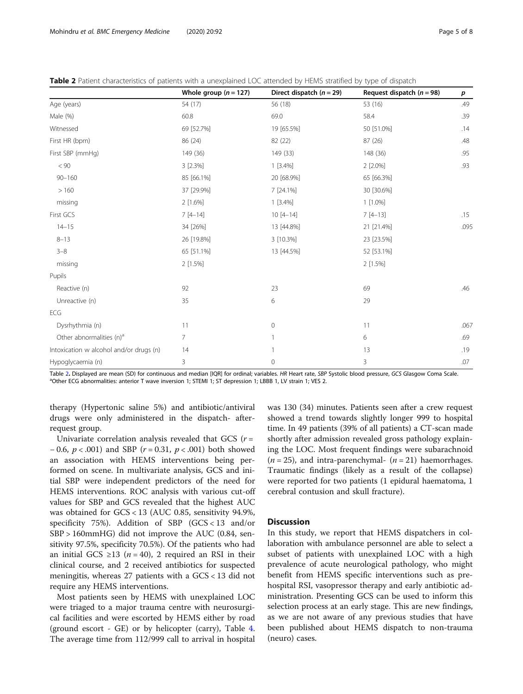<span id="page-4-0"></span>

| Table 2 Patient characteristics of patients with a unexplained LOC attended by HEMS stratified by type of dispatch |  |  |
|--------------------------------------------------------------------------------------------------------------------|--|--|
|                                                                                                                    |  |  |

|                                         | Whole group $(n = 127)$ | Direct dispatch $(n = 29)$ | Request dispatch $(n = 98)$ | $\boldsymbol{p}$ |
|-----------------------------------------|-------------------------|----------------------------|-----------------------------|------------------|
| Age (years)                             | 54 (17)                 | 56 (18)                    | 53 (16)                     | .49              |
| Male (%)                                | 60.8                    | 69.0                       | 58.4                        | .39              |
| Witnessed                               | 69 [52.7%]              | 19 [65.5%]                 | 50 [51.0%]                  | .14              |
| First HR (bpm)                          | 86 (24)                 | 82 (22)                    | 87 (26)                     | .48              |
| First SBP (mmHg)                        | 149 (36)                | 149 (33)                   | 148 (36)                    | .95              |
| < 90                                    | 3 [2.3%]                | $1 [3.4\%]$                | 2 [2.0%]                    | .93              |
| $90 - 160$                              | 85 [66.1%]              | 20 [68.9%]                 | 65 [66.3%]                  |                  |
| >160                                    | 37 [29.9%]              | 7 [24.1%]                  | 30 [30.6%]                  |                  |
| missing                                 | 2 [1.6%]                | 1 [3.4%]                   | 1 [1.0%]                    |                  |
| First GCS                               | $7[4-14]$               | $10[4-14]$                 | $7[4-13]$                   | .15              |
| $14 - 15$                               | 34 [26%]                | 13 [44.8%]                 | 21 [21.4%]                  | .095             |
| $8 - 13$                                | 26 [19.8%]              | 3 [10.3%]                  | 23 [23.5%]                  |                  |
| $3 - 8$                                 | 65 [51.1%]              | 13 [44.5%]                 | 52 [53.1%]                  |                  |
| missing                                 | 2 [1.5%]                |                            | 2 [1.5%]                    |                  |
| Pupils                                  |                         |                            |                             |                  |
| Reactive (n)                            | 92                      | 23                         | 69                          | .46              |
| Unreactive (n)                          | 35                      | 6                          | 29                          |                  |
| ECG                                     |                         |                            |                             |                  |
| Dysrhythmia (n)                         | 11                      | $\mathbf 0$                | 11                          | .067             |
| Other abnormalities (n) <sup>a</sup>    | $\overline{7}$          | $\mathbf{1}$               | 6                           | .69              |
| Intoxication w alcohol and/or drugs (n) | 14                      | 1                          | 13                          | .19              |
| Hypoglycaemia (n)                       | 3                       | $\mathbf 0$                | 3                           | .07              |

Table 2. Displayed are mean (SD) for continuous and median [IQR] for ordinal; variables. HR Heart rate, SBP Systolic blood pressure, GCS Glasgow Coma Scale. <sup>a</sup>Other ECG abnormalities: anterior T wave inversion 1; STEMI 1; ST depression 1; LBBB 1, LV strain 1; VES 2.

therapy (Hypertonic saline 5%) and antibiotic/antiviral drugs were only administered in the dispatch- afterrequest group.

Univariate correlation analysis revealed that GCS  $(r =$ − 0.6,  $p$  < .001) and SBP ( $r$  = 0.31,  $p$  < .001) both showed an association with HEMS interventions being performed on scene. In multivariate analysis, GCS and initial SBP were independent predictors of the need for HEMS interventions. ROC analysis with various cut-off values for SBP and GCS revealed that the highest AUC was obtained for GCS < 13 (AUC 0.85, sensitivity 94.9%, specificity 75%). Addition of SBP  $(GCS < 13$  and/or SBP > 160mmHG) did not improve the AUC (0.84, sensitivity 97.5%, specificity 70.5%). Of the patients who had an initial GCS ≥13 ( $n = 40$ ), 2 required an RSI in their clinical course, and 2 received antibiotics for suspected meningitis, whereas 27 patients with a GCS < 13 did not require any HEMS interventions.

Most patients seen by HEMS with unexplained LOC were triaged to a major trauma centre with neurosurgical facilities and were escorted by HEMS either by road (ground escort - GE) or by helicopter (carry), Table [4](#page-5-0). The average time from 112/999 call to arrival in hospital was 130 (34) minutes. Patients seen after a crew request showed a trend towards slightly longer 999 to hospital time. In 49 patients (39% of all patients) a CT-scan made shortly after admission revealed gross pathology explaining the LOC. Most frequent findings were subarachnoid  $(n = 25)$ , and intra-parenchymal-  $(n = 21)$  haemorrhages. Traumatic findings (likely as a result of the collapse) were reported for two patients (1 epidural haematoma, 1 cerebral contusion and skull fracture).

## **Discussion**

In this study, we report that HEMS dispatchers in collaboration with ambulance personnel are able to select a subset of patients with unexplained LOC with a high prevalence of acute neurological pathology, who might benefit from HEMS specific interventions such as prehospital RSI, vasopressor therapy and early antibiotic administration. Presenting GCS can be used to inform this selection process at an early stage. This are new findings, as we are not aware of any previous studies that have been published about HEMS dispatch to non-trauma (neuro) cases.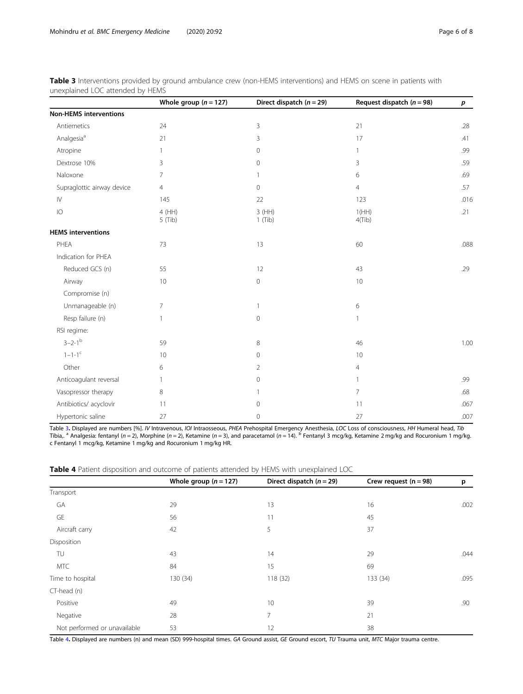<span id="page-5-0"></span>

| <b>Table 3</b> Interventions provided by ground ambulance crew (non-HEMS interventions) and HEMS on scene in patients with |  |  |
|----------------------------------------------------------------------------------------------------------------------------|--|--|
| unexplained LOC attended by HEMS                                                                                           |  |  |

|                               | Whole group $(n = 127)$ | Direct dispatch $(n = 29)$ | Request dispatch $(n = 98)$ | p    |
|-------------------------------|-------------------------|----------------------------|-----------------------------|------|
| <b>Non-HEMS interventions</b> |                         |                            |                             |      |
| Antiemetics                   | 24                      | 3                          | 21                          | .28  |
| Analgesia <sup>a</sup>        | 21                      | 3                          | 17                          | .41  |
| Atropine                      |                         | $\circ$                    | $\mathbf{1}$                | .99  |
| Dextrose 10%                  | 3                       | $\Omega$                   | 3                           | .59  |
| Naloxone                      | 7                       | $\mathbf{1}$               | 6                           | .69  |
| Supraglottic airway device    | $\overline{4}$          | 0                          | $\overline{4}$              | .57  |
| ${\sf IV}$                    | 145                     | 22                         | 123                         | .016 |
| IO                            | 4 (HH)<br>$5$ (Tib)     | 3(HH)<br>$1$ (Tib)         | 1(HH)<br>$4$ (Tib)          | .21  |
| <b>HEMS</b> interventions     |                         |                            |                             |      |
| PHEA                          | 73                      | 13                         | 60                          | .088 |
| Indication for PHEA           |                         |                            |                             |      |
| Reduced GCS (n)               | 55                      | 12                         | 43                          | .29  |
| Airway                        | 10                      | $\mathsf{O}\xspace$        | 10                          |      |
| Compromise (n)                |                         |                            |                             |      |
| Unmanageable (n)              | $\overline{7}$          | $\mathbf{1}$               | 6                           |      |
| Resp failure (n)              |                         | $\mathsf{O}\xspace$        | $\mathbf{1}$                |      |
| RSI regime:                   |                         |                            |                             |      |
| $3 - 2 - 1^{b}$               | 59                      | 8                          | 46                          | 1.00 |
| $1 - 1 - 1^c$                 | 10                      | $\mathsf{O}\xspace$        | 10                          |      |
| Other                         | 6                       | $\overline{2}$             | $\overline{4}$              |      |
| Anticoagulant reversal        |                         | $\circ$                    | $\mathbf{1}$                | .99  |
| Vasopressor therapy           | 8                       | 1                          | $\overline{7}$              | .68  |
| Antibiotics/ acyclovir        | 11                      | $\mathsf{O}\xspace$        | 11                          | .067 |
| Hypertonic saline             | 27                      | $\circ$                    | 27                          | .007 |

Table 3. Displayed are numbers [%]. IV Intravenous, IOI Intraosseous, PHEA Prehospital Emergency Anesthesia, LOC Loss of consciousness, HH Humeral head, Tib Tibia,. <sup>a</sup> Analgesia: fentanyl (n = 2), Morphine (n = 2), Ketamine (n = 3), and paracetamol (n = 14). <sup>b</sup> Fentanyl 3 mcg/kg, Ketamine 2 mg/kg and Rocuronium 1 mg/kg. c Fentanyl 1 mcg/kg, Ketamine 1 mg/kg and Rocuronium 1 mg/kg HR.

|  |  | Table 4 Patient disposition and outcome of patients attended by HEMS with unexplained LOC |
|--|--|-------------------------------------------------------------------------------------------|
|--|--|-------------------------------------------------------------------------------------------|

|                              | Whole group $(n = 127)$ | Direct dispatch $(n = 29)$ | Crew request $(n = 98)$ | p    |
|------------------------------|-------------------------|----------------------------|-------------------------|------|
| Transport                    |                         |                            |                         |      |
| GA                           | 29                      | 13                         | 16                      | .002 |
| GE                           | 56                      | 11                         | 45                      |      |
| Aircraft carry               | 42                      | 5                          | 37                      |      |
| Disposition                  |                         |                            |                         |      |
| TU                           | 43                      | 14                         | 29                      | .044 |
| <b>MTC</b>                   | 84                      | 15                         | 69                      |      |
| Time to hospital             | 130 (34)                | 118(32)                    | 133 (34)                | .095 |
| CT-head (n)                  |                         |                            |                         |      |
| Positive                     | 49                      | 10                         | 39                      | .90  |
| Negative                     | 28                      | 7                          | 21                      |      |
| Not performed or unavailable | 53                      | 12                         | 38                      |      |

Table 4. Displayed are numbers (n) and mean (SD) 999-hospital times. GA Ground assist, GE Ground escort, TU Trauma unit, MTC Major trauma centre.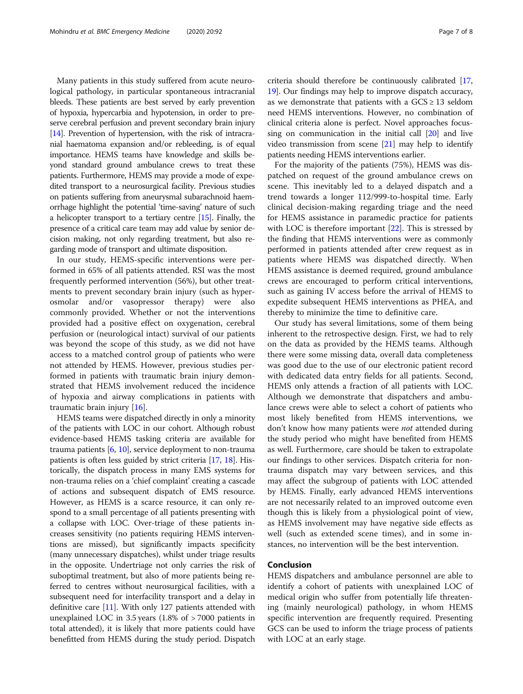Many patients in this study suffered from acute neurological pathology, in particular spontaneous intracranial bleeds. These patients are best served by early prevention of hypoxia, hypercarbia and hypotension, in order to preserve cerebral perfusion and prevent secondary brain injury [[14](#page-7-0)]. Prevention of hypertension, with the risk of intracranial haematoma expansion and/or rebleeding, is of equal importance. HEMS teams have knowledge and skills beyond standard ground ambulance crews to treat these patients. Furthermore, HEMS may provide a mode of expedited transport to a neurosurgical facility. Previous studies on patients suffering from aneurysmal subarachnoid haemorrhage highlight the potential 'time-saving' nature of such a helicopter transport to a tertiary centre [[15](#page-7-0)]. Finally, the presence of a critical care team may add value by senior decision making, not only regarding treatment, but also regarding mode of transport and ultimate disposition.

In our study, HEMS-specific interventions were performed in 65% of all patients attended. RSI was the most frequently performed intervention (56%), but other treatments to prevent secondary brain injury (such as hyperosmolar and/or vasopressor therapy) were also commonly provided. Whether or not the interventions provided had a positive effect on oxygenation, cerebral perfusion or (neurological intact) survival of our patients was beyond the scope of this study, as we did not have access to a matched control group of patients who were not attended by HEMS. However, previous studies performed in patients with traumatic brain injury demonstrated that HEMS involvement reduced the incidence of hypoxia and airway complications in patients with traumatic brain injury [[16\]](#page-7-0).

HEMS teams were dispatched directly in only a minority of the patients with LOC in our cohort. Although robust evidence-based HEMS tasking criteria are available for trauma patients [\[6,](#page-7-0) [10](#page-7-0)], service deployment to non-trauma patients is often less guided by strict criteria [[17](#page-7-0), [18](#page-7-0)]. Historically, the dispatch process in many EMS systems for non-trauma relies on a 'chief complaint' creating a cascade of actions and subsequent dispatch of EMS resource. However, as HEMS is a scarce resource, it can only respond to a small percentage of all patients presenting with a collapse with LOC. Over-triage of these patients increases sensitivity (no patients requiring HEMS interventions are missed), but significantly impacts specificity (many unnecessary dispatches), whilst under triage results in the opposite. Undertriage not only carries the risk of suboptimal treatment, but also of more patients being referred to centres without neurosurgical facilities, with a subsequent need for interfacility transport and a delay in definitive care [[11](#page-7-0)]. With only 127 patients attended with unexplained LOC in 3.5 years (1.8% of > 7000 patients in total attended), it is likely that more patients could have benefitted from HEMS during the study period. Dispatch

criteria should therefore be continuously calibrated [[17](#page-7-0), [19](#page-7-0)]. Our findings may help to improve dispatch accuracy, as we demonstrate that patients with a  $GCS \geq 13$  seldom need HEMS interventions. However, no combination of clinical criteria alone is perfect. Novel approaches focussing on communication in the initial call [[20](#page-7-0)] and live video transmission from scene [[21](#page-7-0)] may help to identify patients needing HEMS interventions earlier.

For the majority of the patients (75%), HEMS was dispatched on request of the ground ambulance crews on scene. This inevitably led to a delayed dispatch and a trend towards a longer 112/999-to-hospital time. Early clinical decision-making regarding triage and the need for HEMS assistance in paramedic practice for patients with LOC is therefore important [\[22\]](#page-7-0). This is stressed by the finding that HEMS interventions were as commonly performed in patients attended after crew request as in patients where HEMS was dispatched directly. When HEMS assistance is deemed required, ground ambulance crews are encouraged to perform critical interventions, such as gaining IV access before the arrival of HEMS to expedite subsequent HEMS interventions as PHEA, and thereby to minimize the time to definitive care.

Our study has several limitations, some of them being inherent to the retrospective design. First, we had to rely on the data as provided by the HEMS teams. Although there were some missing data, overall data completeness was good due to the use of our electronic patient record with dedicated data entry fields for all patients. Second, HEMS only attends a fraction of all patients with LOC. Although we demonstrate that dispatchers and ambulance crews were able to select a cohort of patients who most likely benefited from HEMS interventions, we don't know how many patients were not attended during the study period who might have benefited from HEMS as well. Furthermore, care should be taken to extrapolate our findings to other services. Dispatch criteria for nontrauma dispatch may vary between services, and this may affect the subgroup of patients with LOC attended by HEMS. Finally, early advanced HEMS interventions are not necessarily related to an improved outcome even though this is likely from a physiological point of view, as HEMS involvement may have negative side effects as well (such as extended scene times), and in some instances, no intervention will be the best intervention.

## Conclusion

HEMS dispatchers and ambulance personnel are able to identify a cohort of patients with unexplained LOC of medical origin who suffer from potentially life threatening (mainly neurological) pathology, in whom HEMS specific intervention are frequently required. Presenting GCS can be used to inform the triage process of patients with LOC at an early stage.